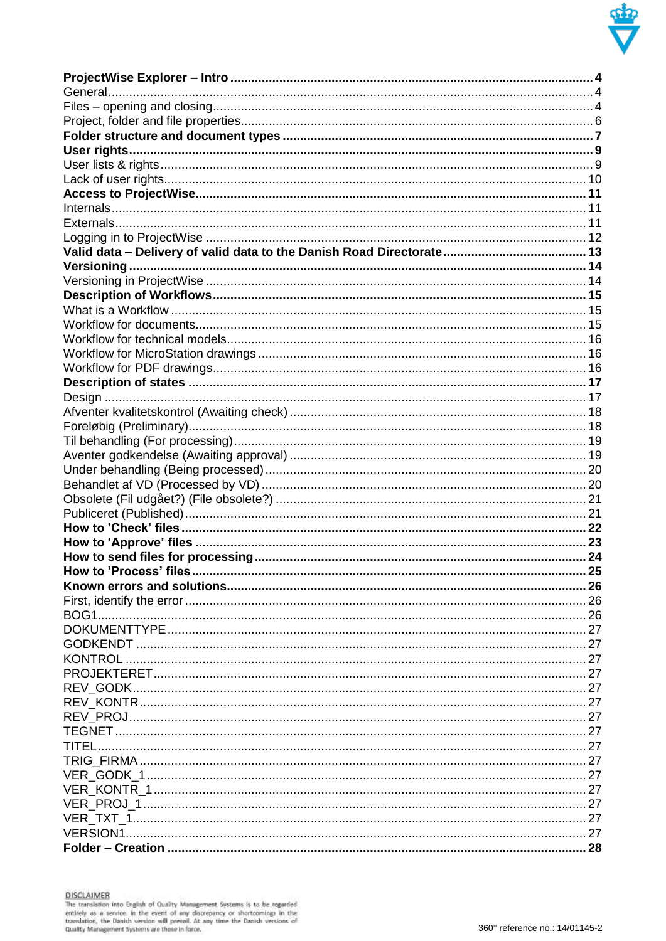

| <b>KONTROL</b> |  |
|----------------|--|
|                |  |
|                |  |
|                |  |
|                |  |
|                |  |
|                |  |
|                |  |
|                |  |
|                |  |
|                |  |
|                |  |
|                |  |
|                |  |
|                |  |
|                |  |
|                |  |
|                |  |
|                |  |
|                |  |
|                |  |
|                |  |
|                |  |
|                |  |
|                |  |
|                |  |
|                |  |
|                |  |
|                |  |
|                |  |
|                |  |
|                |  |
|                |  |
|                |  |
|                |  |
|                |  |
|                |  |
|                |  |
|                |  |
|                |  |
|                |  |
|                |  |
|                |  |
|                |  |
|                |  |
|                |  |
|                |  |
|                |  |
|                |  |
|                |  |
|                |  |
|                |  |
|                |  |
|                |  |

DISCLAIMER<br>The translation into English of Quality Management Systems is to be regarded<br>entirely as a service. In the event of any discrepancy or shortcomings in the<br>translation, the Danish version will prevail. At any tim